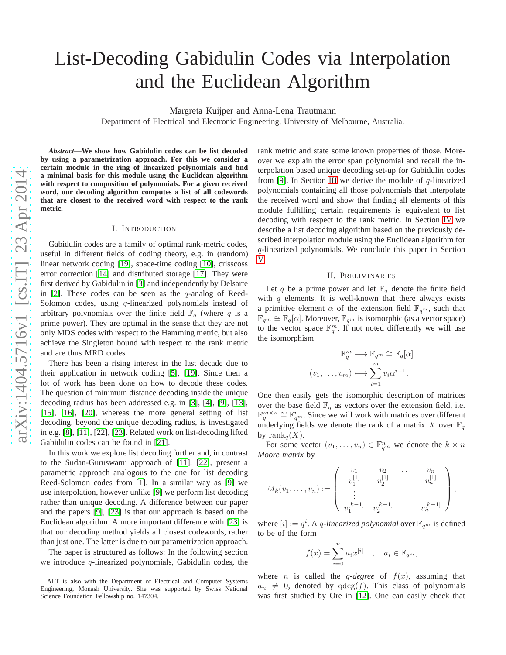# List-Decoding Gabidulin Codes via Interpolation and the Euclidean Algorithm

Margreta Kuijper and Anna-Lena Trautmann

Department of Electrical and Electronic Engineering, University of Melbourne, Australia.

*Abstract***—We show how Gabidulin codes can be list decoded by using a parametrization approach. For this we consider a certain module in the ring of linearized polynomials and find a minimal basis for this module using the Euclidean algorith m with respect to composition of polynomials. For a given received word, our decoding algorithm computes a list of all codeword s that are closest to the received word with respect to the rank metric.**

#### I. INTRODUCTION

Gabidulin codes are a family of optimal rank-metric codes, useful in different fields of coding theory, e.g. in (random) linear network coding [\[19\]](#page-4-0), space-time coding [\[10\]](#page-4-1), crisscoss error correction [\[14\]](#page-4-2) and distributed storage [\[17\]](#page-4-3). They were first derived by Gabidulin in [\[3\]](#page-4-4) and independently by Delsarte in  $[2]$ . These codes can be seen as the q-analog of Reed-Solomon codes, using  $q$ -linearized polynomials instead of arbitrary polynomials over the finite field  $\mathbb{F}_q$  (where q is a prime power). They are optimal in the sense that they are not only MDS codes with respect to the Hamming metric, but also achieve the Singleton bound with respect to the rank metric and are thus MRD codes.

There has been a rising interest in the last decade due to their application in network coding [\[5\]](#page-4-6), [\[19\]](#page-4-0). Since then a lot of work has been done on how to decode these codes. The question of minimum distance decoding inside the unique decoding radius has been addressed e.g. in [\[3\]](#page-4-4), [\[4\]](#page-4-7), [\[9\]](#page-4-8), [\[13\]](#page-4-9), [\[15\]](#page-4-10), [\[16\]](#page-4-11), [\[20\]](#page-4-12), whereas the more general setting of list decoding, beyond the unique decoding radius, is investigated in e.g. [\[8\]](#page-4-13), [\[11\]](#page-4-14), [\[22\]](#page-5-0), [\[23\]](#page-5-1). Related work on list-decoding lifted Gabidulin codes can be found in [\[21\]](#page-5-2).

In this work we explore list decoding further and, in contras t to the Sudan-Guruswami approach of [\[11\]](#page-4-14), [\[22\]](#page-5-0), present a parametric approach analogous to the one for list decoding Reed-Solomon codes from [\[1\]](#page-4-15). In a similar way as [\[9\]](#page-4-8) we use interpolation, however unlike [\[9\]](#page-4-8) we perform list decoding rather than unique decoding. A difference between our paper and the papers [\[9\]](#page-4-8), [\[23\]](#page-5-1) is that our approach is based on the Euclidean algorithm. A more important difference with [\[23\]](#page-5-1) is that our decoding method yields all closest codewords, rather than just one. The latter is due to our parametrization approach.

The paper is structured as follows: In the following section we introduce q-linearized polynomials, Gabidulin codes, the

rank metric and state some known properties of those. Moreover we explain the error span polynomial and recall the interpolation based unique decoding set-up for Gabidulin codes from [\[9\]](#page-4-8). In Section [III](#page-1-0) we derive the module of  $q$ -linearized polynomials containing all those polynomials that interpolate the received word and show that finding all elements of this module fulfilling certain requirements is equivalent to lis t decoding with respect to the rank metric. In Section [IV](#page-2-0) we describe a list decoding algorithm based on the previously described interpolation module using the Euclidean algorithm for q-linearized polynomials. We conclude this paper in Section [V.](#page-4-16)

#### II. PRELIMINARIES

Let q be a prime power and let  $\mathbb{F}_q$  denote the finite field with  $q$  elements. It is well-known that there always exists a primitive element  $\alpha$  of the extension field  $\mathbb{F}_{q^m}$ , such that  $\mathbb{F}_{q^m} \cong \mathbb{F}_q[\alpha]$ . Moreover,  $\mathbb{F}_{q^m}$  is isomorphic (as a vector space) to the vector space  $\mathbb{F}_q^m$ . If not noted differently we will use the isomorphism

$$
\mathbb{F}_q^m \longrightarrow \mathbb{F}_{q^m} \cong \mathbb{F}_q[\alpha]
$$

$$
(v_1, \dots, v_m) \longmapsto \sum_{i=1}^m v_i \alpha^{i-1}.
$$

One then easily gets the isomorphic description of matrices over the base field  $\mathbb{F}_q$  as vectors over the extension field, i.e.  $\mathbb{F}_q^{m \times n} \cong \mathbb{F}_{q^m}^n$ . Since we will work with matrices over different underlying fields we denote the rank of a matrix X over  $\mathbb{F}_q$ by  $\text{rank}_q(X)$ .

For some vector  $(v_1, \ldots, v_n) \in \mathbb{F}_{q^m}^n$  we denote the  $k \times n$ *Moore matrix* by

$$
M_k(v_1,\ldots,v_n) := \left(\begin{array}{cccc} v_1 & v_2 & \ldots & v_n \\ v_1^{[1]} & v_2^{[1]} & \ldots & v_n^{[1]} \\ \vdots & & & & \\ v_1^{[k-1]} & v_2^{[k-1]} & \ldots & v_n^{[k-1]} \end{array}\right),
$$

where  $[i] := q^i$ . A *q*-linearized polynomial over  $\mathbb{F}_{q^m}$  is defined to be of the form

$$
f(x) = \sum_{i=0}^{n} a_i x^{[i]}, \quad a_i \in \mathbb{F}_{q^m},
$$

where *n* is called the *q-degree* of  $f(x)$ , assuming that  $a_n \neq 0$ , denoted by  $qdeg(f)$ . This class of polynomials was first studied by Ore in [\[12\]](#page-4-17). One can easily check that

ALT is also with the Department of Electrical and Computer Systems Engineering, Monash University. She was supported by Swiss National Science Foundation Fellowship no. 147304.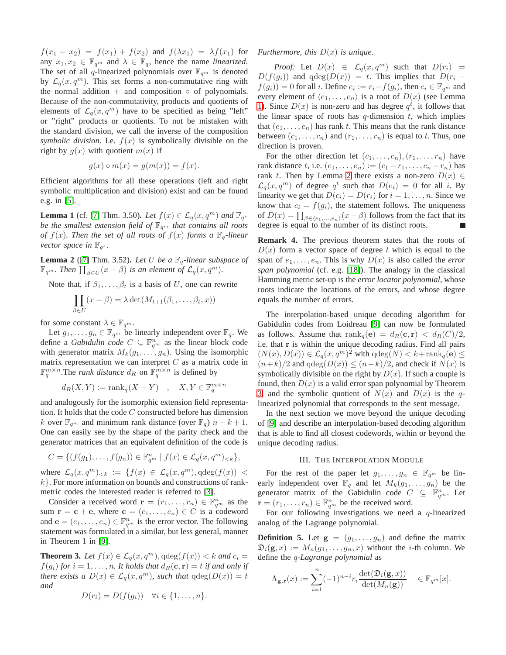$f(x_1 + x_2) = f(x_1) + f(x_2)$  and  $f(\lambda x_1) = \lambda f(x_1)$  for any  $x_1, x_2 \in \mathbb{F}_{q^m}$  and  $\lambda \in \mathbb{F}_q$ , hence the name *linearized*. The set of all q-linearized polynomials over  $\mathbb{F}_{q^m}$  is denoted by  $\mathcal{L}_q(x, q^m)$ . This set forms a non-commutative ring with the normal addition  $+$  and composition  $\circ$  of polynomials. Because of the non-commutativity, products and quotients of elements of  $\mathcal{L}_q(x, q^m)$  have to be specified as being "left" or "right" products or quotients. To not be mistaken with the standard division, we call the inverse of the composition *symbolic division*. I.e.  $f(x)$  is symbolically divisible on the right by  $g(x)$  with quotient  $m(x)$  if

$$
g(x) \circ m(x) = g(m(x)) = f(x).
$$

Efficient algorithms for all these operations (left and right symbolic multiplication and division) exist and can be found e.g. in [\[5\]](#page-4-6).

<span id="page-1-1"></span>**Lemma 1** (cf. [\[7\]](#page-4-18) Thm. 3.50). Let  $f(x) \in \mathcal{L}_q(x, q^m)$  and  $\mathbb{F}_{q^s}$ *be the smallest extension field of*  $\mathbb{F}_{q^m}$  *that contains all roots of*  $f(x)$ *. Then the set of all roots of*  $f(x)$  *forms a*  $\mathbb{F}_q$ *-linear vector space in*  $\mathbb{F}_{q^s}$ *.* 

<span id="page-1-2"></span>**Lemma 2** ([\[7\]](#page-4-18) Thm. 3.52). Let U be a  $\mathbb{F}_q$ -linear subspace of  $\mathbb{F}_{q^m}$ *. Then*  $\prod_{\beta \in U} (x - \beta)$  *is an element of*  $\mathcal{L}_q(x, q^m)$ *.* 

Note that, if  $\beta_1, \ldots, \beta_t$  is a basis of U, one can rewrite

$$
\prod_{\beta \in U} (x - \beta) = \lambda \det(M_{t+1}(\beta_1, \dots, \beta_t, x))
$$

for some constant  $\lambda \in \mathbb{F}_{q^m}$ .

Let  $g_1, \ldots, g_n \in \mathbb{F}_{q^m}$  be linearly independent over  $\mathbb{F}_q$ . We define a *Gabidulin code*  $C \subseteq \mathbb{F}_{q^m}^n$  as the linear block code with generator matrix  $M_k(g_1, \ldots, g_n)$ . Using the isomorphic matrix representation we can interpret  $C$  as a matrix code in  $\mathbb{F}_q^{m \times n}$ . The *rank distance*  $d_R$  on  $\mathbb{F}_q^{m \times n}$  is defined by

$$
d_R(X, Y) := \text{rank}_q(X - Y) \quad , \quad X, Y \in \mathbb{F}_q^{m \times n}
$$

and analogously for the isomorphic extension field representation. It holds that the code  $C$  constructed before has dimension k over  $\mathbb{F}_{q^m}$  and minimum rank distance (over  $\mathbb{F}_q$ )  $n - k + 1$ . One can easily see by the shape of the parity check and the generator matrices that an equivalent definition of the code is

$$
C = \{ (f(g_1), \ldots, f(g_n)) \in \mathbb{F}_{q^m}^n \mid f(x) \in \mathcal{L}_q(x, q^m) < k \},
$$

where  $\mathcal{L}_q(x,q^m)_{< k} := \{f(x) \in \mathcal{L}_q(x,q^m), \text{qdeg}(f(x)) \leq$  $k$ . For more information on bounds and constructions of rankmetric codes the interested reader is referred to [\[3\]](#page-4-4).

Consider a received word  $\mathbf{r} = (r_1, \dots, r_n) \in \mathbb{F}_{q^m}^n$  as the sum  $\mathbf{r} = \mathbf{c} + \mathbf{e}$ , where  $\mathbf{c} = (c_1, \dots, c_n) \in C$  is a codeword and  $\mathbf{e} = (e_1, \dots, e_n) \in \mathbb{F}_{q^m}^n$  is the error vector. The following statement was formulated in a similar, but less general, manner in Theorem 1 in [\[9\]](#page-4-8).

<span id="page-1-3"></span>**Theorem 3.** Let  $f(x) \in \mathcal{L}_q(x, q^m)$ ,  $qdeg(f(x)) < k$  and  $c_i =$  $f(g_i)$  *for*  $i = 1, \ldots, n$ *. It holds that*  $d_R(c, r) = t$  *if and only if there exists a*  $D(x) \in \mathcal{L}_q(x, q^m)$ *, such that*  $q \deg(D(x)) = t$ *and*

$$
D(r_i) = D(f(g_i)) \quad \forall i \in \{1, \ldots, n\}.
$$

*Furthermore, this* D(x) *is unique.*

*Proof:* Let  $D(x) \in \mathcal{L}_q(x,q^m)$  such that  $D(r_i) =$  $D(f(g_i))$  and  $qdeg(D(x)) = t$ . This implies that  $D(r_i$  $f(g_i)$  = 0 for all *i*. Define  $e_i := r_i - f(g_i)$ , then  $e_i \in \mathbb{F}_{q^m}$  and every element of  $\langle e_1, \ldots, e_n \rangle$  is a root of  $D(x)$  (see Lemma [1\)](#page-1-1). Since  $D(x)$  is non-zero and has degree  $q<sup>t</sup>$ , it follows that the linear space of roots has  $q$ -dimension  $t$ , which implies that  $(e_1, \ldots, e_n)$  has rank t. This means that the rank distance between  $(c_1, \ldots, c_n)$  and  $(r_1, \ldots, r_n)$  is equal to t. Thus, one direction is proven.

For the other direction let  $(c_1, \ldots, c_n), (r_1, \ldots, r_n)$  have rank distance t, i.e.  $(e_1, ..., e_n) := (c_1 - r_1, ..., c_n - r_n)$  has rank t. Then by Lemma [2](#page-1-2) there exists a non-zero  $D(x) \in$  $\mathcal{L}_q(x,q^m)$  of degree  $q^t$  such that  $D(e_i) = 0$  for all i. By linearity we get that  $D(c_i) = D(r_i)$  for  $i = 1, \ldots, n$ . Since we know that  $c_i = f(g_i)$ , the statement follows. The uniqueness of  $D(x) = \prod_{\beta \in \langle e_1,...,e_n \rangle}(x-\beta)$  follows from the fact that its degree is equal to the number of its distinct roots.  $\overline{\phantom{a}}$ 

**Remark 4.** The previous theorem states that the roots of  $D(x)$  form a vector space of degree t which is equal to the span of  $e_1, \ldots, e_n$ . This is why  $D(x)$  is also called the *error span polynomial* (cf. e.g. [\[18\]](#page-4-19)). The analogy in the classical Hamming metric set-up is the *error locator polynomial*, whose roots indicate the locations of the errors, and whose degree equals the number of errors.

The interpolation-based unique decoding algorithm for Gabidulin codes from Loidreau [\[9\]](#page-4-8) can now be formulated as follows. Assume that  $\text{rank}_q(\mathbf{e}) = d_R(\mathbf{c}, \mathbf{r}) < d_R(C)/2$ , i.e. that r is within the unique decoding radius. Find all pairs  $(N(x), D(x)) \in \mathcal{L}_q(x, q^m)^2$  with  $qdeg(N) < k + rank_q(e) \le$  $(n+k)/2$  and  $qdeg(D(x)) \leq (n-k)/2$ , and check if  $N(x)$  is symbolically divisible on the right by  $D(x)$ . If such a couple is found, then  $D(x)$  is a valid error span polynomial by Theorem [3,](#page-1-3) and the symbolic quotient of  $N(x)$  and  $D(x)$  is the qlinearized polynomial that corresponds to the sent message.

In the next section we move beyond the unique decoding of [\[9\]](#page-4-8) and describe an interpolation-based decoding algorithm that is able to find all closest codewords, within or beyond the unique decoding radius.

### III. THE INTERPOLATION MODULE

<span id="page-1-0"></span>For the rest of the paper let  $g_1, \ldots, g_n \in \mathbb{F}_{q^m}$  be linearly independent over  $\mathbb{F}_q$  and let  $M_k(g_1, \ldots, g_n)$  be the generator matrix of the Gabidulin code  $C \subseteq \mathbb{F}_{q^m}^n$ . Let  $\mathbf{r} = (r_1, \dots, r_n) \in \mathbb{F}_{q^m}^n$  be the received word.

For our following investigations we need a  $q$ -linearized analog of the Lagrange polynomial.

**Definition 5.** Let  $g = (g_1, \ldots, g_n)$  and define the matrix  $\mathfrak{D}_i(\mathbf{g},x) := M_n(g_1,\ldots,g_n,x)$  without the *i*-th column. We define the q*-Lagrange polynomial* as

$$
\Lambda_{\mathbf{g},\mathbf{r}}(x) := \sum_{i=1}^n (-1)^{n-i} r_i \frac{\det(\mathfrak{D}_i(\mathbf{g},x))}{\det(M_n(\mathbf{g}))} \in \mathbb{F}_{q^m}[x].
$$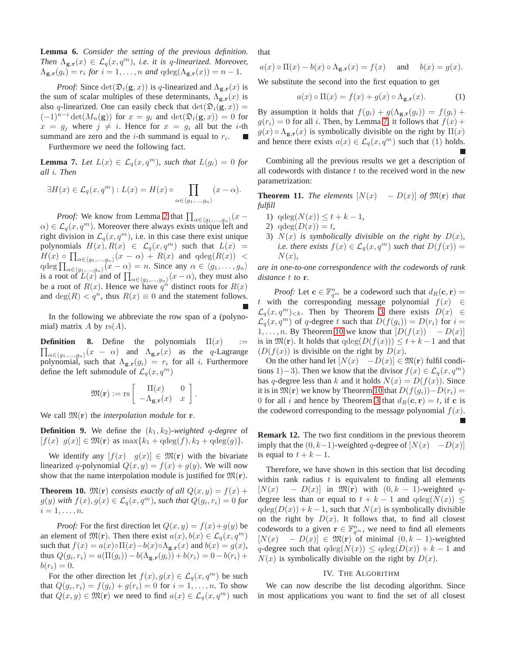**Lemma 6.** *Consider the setting of the previous definition. Then*  $\Lambda_{g,r}(x) \in \mathcal{L}_g(x,q^m)$ , *i.e. it is q-linearized. Moreover,*  $\Lambda_{\mathbf{g},\mathbf{r}}(g_i) = r_i$  for  $i = 1,\ldots,n$  and  $\deg(\Lambda_{\mathbf{g},\mathbf{r}}(x)) = n - 1$ .

*Proof:* Since  $\det(\mathfrak{D}_i(\mathbf{g},x))$  is q-linearized and  $\Lambda_{\mathbf{g},\mathbf{r}}(x)$  is the sum of scalar multiples of these determinants,  $\Lambda_{\mathbf{g},\mathbf{r}}(x)$  is also q-linearized. One can easily check that  $det(\mathfrak{D}_i(\mathbf{g},x)) =$  $(-1)^{n-i} \det(M_n(\mathbf{g}))$  for  $x = g_i$  and  $\det(\mathfrak{D}_i(\mathbf{g},x)) = 0$  for  $x = g_i$  where  $j \neq i$ . Hence for  $x = g_i$  all but the *i*-th summand are zero and the *i*-th summand is equal to  $r_i$ .

Furthermore we need the following fact.

<span id="page-2-1"></span>**Lemma 7.** Let  $L(x) \in \mathcal{L}_q(x, q^m)$ , such that  $L(g_i) = 0$  for *all* i*. Then*

$$
\exists H(x) \in \mathcal{L}_q(x, q^m) : L(x) = H(x) \circ \prod_{\alpha \in \langle g_1, \dots, g_n \rangle} (x - \alpha).
$$

*Proof:* We know from Lemma [2](#page-1-2) that  $\prod_{\alpha \in \langle g_1,...,g_n \rangle} (x \alpha$ )  $\in$   $\mathcal{L}_q(x, q^m)$ . Moreover there always exists unique left and right division in  $\mathcal{L}_q(x, q^m)$ , i.e. in this case there exist unique polynomials  $H(x), R(x) \in \mathcal{L}_q(x, q^m)$  such that  $L(x) =$  $H(x) \circ \prod_{\alpha \in \langle g_1,...,g_n \rangle} (x - \alpha) + R(x)$  and  $\deg(R(x)) <$ qdeg  $\prod_{\alpha \in \langle g_1,...,g_n \rangle}(x - \alpha) = n$ . Since any  $\alpha \in \langle g_1,...,g_n \rangle$ is a root of  $L(x)$  and of  $\prod_{\alpha \in \langle g_1,...,g_n \rangle}(x - \alpha)$ , they must also be a root of  $R(x)$ . Hence we have  $q^n$  distinct roots for  $R(x)$ and  $deg(R) < q^n$ , thus  $R(x) \equiv 0$  and the statement follows.

In the following we abbreviate the row span of a (polynomial) matrix A by  $rs(A)$ .

**Definition 8.** Define the polynomials  $\Pi(x)$  :=  $\prod_{\alpha \in \langle g_1,...,g_n\rangle}(x - \alpha)$  and  $\Lambda_{\mathbf{g},\mathbf{r}}(x)$  as the q-Lagrange polynomial, such that  $\Lambda_{g,r}(g_i) = r_i$  for all *i*. Furthermore define the left submodule of  $\mathcal{L}_q(x, q^m)$ 

$$
\mathfrak{M}(\mathbf{r}) := \text{rs} \left[ \begin{array}{cc} \Pi(x) & 0 \\ -\Lambda_{\mathbf{g},\mathbf{r}}(x) & x \end{array} \right].
$$

We call  $\mathfrak{M}(\mathbf{r})$  the *interpolation module* for **r**.

**Definition 9.** We define the  $(k_1, k_2)$ *-weighted q-degree* of  $[f(x) \, g(x)] \in \mathfrak{M}(\mathbf{r})$  as  $\max\{k_1 + \mathrm{qdeg}(f), k_2 + \mathrm{qdeg}(g)\}.$ 

We identify any  $[f(x) \quad g(x)] \in \mathfrak{M}(\mathbf{r})$  with the bivariate linearized q-polynomial  $Q(x, y) = f(x) + g(y)$ . We will now show that the name interpolation module is justified for  $\mathfrak{M}(\mathbf{r})$ .

<span id="page-2-2"></span>**Theorem 10.**  $\mathfrak{M}(\mathbf{r})$  *consists exactly of all*  $Q(x, y) = f(x) +$  $g(y)$  with  $f(x), g(x) \in \mathcal{L}_q(x, q^m)$ , such that  $Q(g_i, r_i) = 0$  for  $i = 1, \ldots, n$ .

*Proof:* For the first direction let  $Q(x, y) = f(x) + g(y)$  be an element of  $\mathfrak{M}(\mathbf{r})$ . Then there exist  $a(x), b(x) \in \mathcal{L}_q(x, q^m)$ such that  $f(x) = a(x) \circ \Pi(x) - b(x) \circ \Lambda_{\mathbf{g},\mathbf{r}}(x)$  and  $b(x) = g(x)$ , thus  $Q(g_i, r_i) = a(\Pi(g_i)) - b(\Lambda_{\mathbf{g},\mathbf{r}}(g_i)) + b(r_i) = 0 - b(r_i) +$  $b(r_i) = 0.$ 

For the other direction let  $f(x), g(x) \in \mathcal{L}_q(x, q^m)$  be such that  $Q(g_i, r_i) = f(g_i) + g(r_i) = 0$  for  $i = 1, ..., n$ . To show that  $Q(x, y) \in \mathfrak{M}(\mathbf{r})$  we need to find  $a(x) \in \mathcal{L}_q(x, q^m)$  such that

$$
a(x) \circ \Pi(x) - b(x) \circ \Lambda_{g,r}(x) = f(x)
$$
 and  $b(x) = g(x)$ .

We substitute the second into the first equation to get

$$
a(x) \circ \Pi(x) = f(x) + g(x) \circ \Lambda_{\mathbf{g},\mathbf{r}}(x). \tag{1}
$$

By assumption it holds that  $f(g_i) + g(\Lambda_{\mathbf{g},\mathbf{r}}(g_i)) = f(g_i) +$  $g(r_i) = 0$  for all i. Then, by Lemma [7,](#page-2-1) it follows that  $f(x)$  +  $g(x) \circ \Lambda_{\mathbf{g},\mathbf{r}}(x)$  is symbolically divisible on the right by  $\Pi(x)$ and hence there exists  $a(x) \in \mathcal{L}_q(x, q^m)$  such that (1) holds.

Combining all the previous results we get a description of all codewords with distance  $t$  to the received word in the new parametrization:

<span id="page-2-3"></span>**Theorem 11.** *The elements*  $[N(x) - D(x)]$  *of*  $\mathfrak{M}(\mathbf{r})$  *that fulfill*

- 1)  $qdeg(N(x)) \leq t + k 1$ ,
- 2)  $qdeg(D(x)) = t$ ,
- 3)  $N(x)$  *is symbolically divisible on the right by*  $D(x)$ *, i.e. there exists*  $f(x) \in \mathcal{L}_q(x, q^m)$  *such that*  $D(f(x)) =$  $N(x)$ ,

*are in one-to-one correspondence with the codewords of rank distance* t *to* r*.*

*Proof:* Let  $\mathbf{c} \in \mathbb{F}_{q^m}^n$  be a codeword such that  $d_R(\mathbf{c}, \mathbf{r}) =$ t with the corresponding message polynomial  $f(x) \in$  $\mathcal{L}_q(x, q^m)_{< k}$ . Then by Theorem [3](#page-1-3) there exists  $D(x) \in$  $\mathcal{L}_q(x, q^m)$  of q-degree t such that  $D(f(q_i)) = D(r_i)$  for  $i =$ 1, ..., *n*. By Theorem [10](#page-2-2) we know that  $[D(f(x)) - D(x)]$ is in  $\mathfrak{M}(\mathbf{r})$ . It holds that  $qdeg(D(f(x))) \leq t+k-1$  and that  $(D(f(x))$  is divisible on the right by  $D(x)$ .

On the other hand let  $[N(x) - D(x)] \in \mathfrak{M}(\mathbf{r})$  fulfil conditions 1)−3). Then we know that the divisor  $f(x) \in \mathcal{L}_q(x, q^m)$ has q-degree less than k and it holds  $N(x) = D(f(x))$ . Since it is in  $\mathfrak{M}(\mathbf{r})$  we know by Theorem [10](#page-2-2) that  $D(f(g_i))-D(r_i)$  = 0 for all i and hence by Theorem [3](#page-1-3) that  $d_R(c, r) = t$ , if c is the codeword corresponding to the message polynomial  $f(x)$ .

**Remark 12.** The two first conditions in the previous theorem imply that the  $(0, k-1)$ -weighted q-degree of  $[N(x) - D(x)]$ is equal to  $t + k - 1$ .

Therefore, we have shown in this section that list decoding within rank radius  $t$  is equivalent to finding all elements  $[N(x) - D(x)]$  in  $\mathfrak{M}(\mathbf{r})$  with  $(0, k - 1)$ -weighted qdegree less than or equal to  $t + k - 1$  and  $qdeg(N(x)) \leq$  $qdeg(D(x)) + k - 1$ , such that  $N(x)$  is symbolically divisible on the right by  $D(x)$ . It follows that, to find all closest codewords to a given  $\mathbf{r} \in \mathbb{F}_{q^m}^n$ , we need to find all elements  $[N(x) - D(x)] \in \mathfrak{M}(\mathbf{r})$  of minimal  $(0, k - 1)$ -weighted q-degree such that  $qdeg(N(x)) \leq qdeg(D(x)) + k - 1$  and  $N(x)$  is symbolically divisible on the right by  $D(x)$ .

#### IV. THE ALGORITHM

<span id="page-2-0"></span>We can now describe the list decoding algorithm. Since in most applications you want to find the set of all closest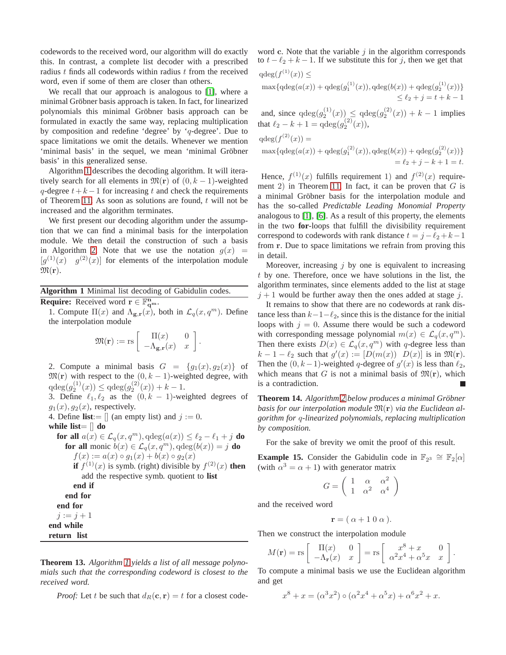codewords to the received word, our algorithm will do exactly this. In contrast, a complete list decoder with a prescribed radius  $t$  finds all codewords within radius  $t$  from the received word, even if some of them are closer than others.

We recall that our approach is analogous to [\[1\]](#page-4-15), where a minimal Gröbner basis approach is taken. In fact, for linearized polynomials this minimal Gröbner basis approach can be formulated in exactly the same way, replacing multiplication by composition and redefine 'degree' by 'q-degree'. Due to space limitations we omit the details. Whenever we mention 'minimal basis' in the sequel, we mean 'minimal Gröbner basis' in this generalized sense.

Algorithm [1](#page-3-0) describes the decoding algorithm. It will iteratively search for all elements in  $\mathfrak{M}(\mathbf{r})$  of  $(0, k - 1)$ -weighted q-degree  $t+k-1$  for increasing t and check the requirements of Theorem [11.](#page-2-3) As soon as solutions are found,  $t$  will not be increased and the algorithm terminates.

We first present our decoding algorithm under the assumption that we can find a minimal basis for the interpolation module. We then detail the construction of such a basis in Algorithm [2.](#page-4-20) Note that we use the notation  $g(x)$  =  $[g^{(1)}(x) \quad g^{(2)}(x)]$  for elements of the interpolation module  $\mathfrak{M}(\mathbf{r}).$ 

<span id="page-3-0"></span>**Algorithm 1** Minimal list decoding of Gabidulin codes. **Require:** Received word  $\mathbf{r} \in \mathbb{F}_{q^m}^n$ .

1. Compute  $\Pi(x)$  and  $\Lambda_{g,r}(x)$ , both in  $\mathcal{L}_q(x, q^m)$ . Define the interpolation module

$$
\mathfrak{M}(\mathbf{r}) := \text{rs} \left[ \begin{array}{cc} \Pi(x) & 0 \\ -\Lambda_{\mathbf{g},\mathbf{r}}(x) & x \end{array} \right].
$$

2. Compute a minimal basis  $G = \{g_1(x), g_2(x)\}\$ of  $\mathfrak{M}(\mathbf{r})$  with respect to the  $(0, k - 1)$ -weighted degree, with  $qdeg(g_2^{(1)}(x)) \leq qdeg(g_2^{(2)}(x)) + k - 1.$ 

3. Define  $\ell_1, \ell_2$  as the  $(0, k - 1)$ -weighted degrees of  $g_1(x), g_2(x)$ , respectively.

4. Define **list**:=  $\parallel$  (an empty list) and  $j := 0$ .

**while list**= [] **do**

**for all**  $a(x) \in \mathcal{L}_q(x, q^m)$ ,  $qdeg(a(x)) \leq \ell_2 - \ell_1 + j$  **do for all** monic  $b(x) \in \mathcal{L}_q(x, q^m)$ ,  $q \deg(b(x)) = j$  **do**  $f(x) := a(x) \circ g_1(x) + b(x) \circ g_2(x)$ **if**  $f^{(1)}(x)$  is symb. (right) divisible by  $f^{(2)}(x)$  **then** add the respective symb. quotient to **list end if end for end for**  $j := j + 1$ **end while return list**

**Theorem 13.** *Algorithm [1](#page-3-0) yields a list of all message polynomials such that the corresponding codeword is closest to the received word.*

*Proof:* Let t be such that  $d_R(c, r) = t$  for a closest code-

word c. Note that the variable  $j$  in the algorithm corresponds to  $t - \ell_2 + k - 1$ . If we substitute this for j, then we get that

$$
qdeg(f^{(1)}(x)) \le
$$
  
\n
$$
\max\{qdeg(a(x)) + qdeg(g_1^{(1)}(x)), qdeg(b(x)) + qdeg(g_2^{(1)}(x))\}
$$
  
\n
$$
\le \ell_2 + j = t + k - 1
$$

and, since  $qdeg(g_2^{(1)}(x)) \leq qdeg(g_2^{(2)}(x)) + k - 1$  implies that  $\ell_2 - k + 1 = \text{qdeg}(g_2^{(2)}(x)),$ 

$$
qdeg(f^{(2)}(x)) =
$$
  
\n
$$
\max\{qdeg(a(x)) + qdeg(g_1^{(2)}(x)), qdeg(b(x)) + qdeg(g_2^{(2)}(x))\}
$$
  
\n
$$
= \ell_2 + j - k + 1 = t.
$$

Hence,  $f^{(1)}(x)$  fulfills requirement 1) and  $f^{(2)}(x)$  require-ment 2) in Theorem [11.](#page-2-3) In fact, it can be proven that  $G$  is a minimal Gröbner basis for the interpolation module and has the so-called *Predictable Leading Monomial Property* analogous to [\[1\]](#page-4-15), [\[6\]](#page-4-21). As a result of this property, the elements in the two **for**-loops that fulfill the divisibility requirement correspond to codewords with rank distance  $t = j - \ell_2 + k - 1$ from r. Due to space limitations we refrain from proving this in detail.

Moreover, increasing  $\dot{\gamma}$  by one is equivalent to increasing t by one. Therefore, once we have solutions in the list, the algorithm terminates, since elements added to the list at stage  $j + 1$  would be further away then the ones added at stage j.

It remains to show that there are no codewords at rank distance less than  $k-1-\ell_2$ , since this is the distance for the initial loops with  $j = 0$ . Assume there would be such a codeword with corresponding message polynomial  $m(x) \in \mathcal{L}_q(x, q^m)$ . Then there exists  $D(x) \in \mathcal{L}_q(x, q^m)$  with q-degree less than  $k-1-\ell_2$  such that  $g'(x) := [D(m(x)) \ D(x)]$  is in  $\mathfrak{M}(\mathbf{r})$ . Then the  $(0, k-1)$ -weighted q-degree of  $g'(x)$  is less than  $\ell_2$ , which means that G is not a minimal basis of  $\mathfrak{M}(\mathbf{r})$ , which is a contradiction.

**Theorem 14.** *Algorithm [2](#page-4-20) below produces a minimal Grobner ¨ basis for our interpolation module* M(r) *via the Euclidean algorithm for* q*-linearized polynomials, replacing multiplication by composition.*

For the sake of brevity we omit the proof of this result.

<span id="page-3-1"></span>**Example 15.** Consider the Gabidulin code in  $\mathbb{F}_{2^3} \cong \mathbb{F}_{2}[\alpha]$ (with  $\alpha^3 = \alpha + 1$ ) with generator matrix

$$
G = \left(\begin{array}{ccc} 1 & \alpha & \alpha^2 \\ 1 & \alpha^2 & \alpha^4 \end{array}\right)
$$

and the received word

$$
\mathbf{r} = (\alpha + 1 \ 0 \ \alpha).
$$

Then we construct the interpolation module

$$
M(\mathbf{r}) = \text{rs} \left[ \begin{array}{cc} \Pi(x) & 0 \\ -\Lambda_{\mathbf{r}}(x) & x \end{array} \right] = \text{rs} \left[ \begin{array}{cc} x^8 + x & 0 \\ \alpha^2 x^4 + \alpha^5 x & x \end{array} \right].
$$

To compute a minimal basis we use the Euclidean algorithm and get

$$
x^{8} + x = (\alpha^{3} x^{2}) \circ (\alpha^{2} x^{4} + \alpha^{5} x) + \alpha^{6} x^{2} + x.
$$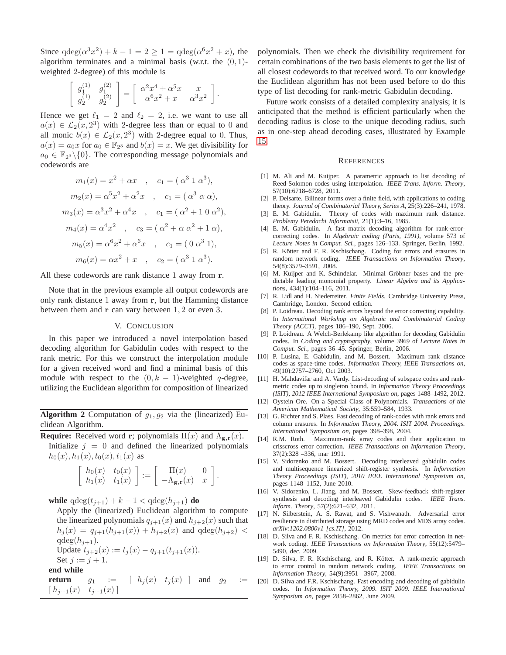Since  $qdeg(\alpha^3 x^2) + k - 1 = 2 \ge 1 = qdeg(\alpha^6 x^2 + x)$ , the algorithm terminates and a minimal basis (w.r.t. the  $(0, 1)$ weighted 2-degree) of this module is

$$
\begin{bmatrix} g_1^{(1)} & g_1^{(2)} \\ g_2^{(1)} & g_2^{(2)} \end{bmatrix} = \begin{bmatrix} \alpha^2 x^4 + \alpha^5 x & x \\ \alpha^6 x^2 + x & \alpha^3 x^2 \end{bmatrix}.
$$

Hence we get  $\ell_1 = 2$  and  $\ell_2 = 2$ , i.e. we want to use all  $a(x) \in \mathcal{L}_2(x, 2^3)$  with 2-degree less than or equal to 0 and all monic  $b(x) \in \mathcal{L}_2(x, 2^3)$  with 2-degree equal to 0. Thus,  $a(x) = a_0x$  for  $a_0 \in \mathbb{F}_{2^3}$  and  $b(x) = x$ . We get divisibility for  $a_0 \in \mathbb{F}_{2^3} \setminus \{0\}$ . The corresponding message polynomials and codewords are

$$
m_1(x) = x^2 + \alpha x \quad , \quad c_1 = (\alpha^3 \ 1 \ \alpha^3),
$$
  
\n
$$
m_2(x) = \alpha^5 x^2 + \alpha^2 x \quad , \quad c_1 = (\alpha^3 \ \alpha \ \alpha),
$$
  
\n
$$
m_3(x) = \alpha^3 x^2 + \alpha^4 x \quad , \quad c_1 = (\alpha^2 + 1 \ 0 \ \alpha^2),
$$
  
\n
$$
m_4(x) = \alpha^4 x^2 \quad , \quad c_3 = (\alpha^2 + \alpha \ \alpha^2 + 1 \ \alpha),
$$
  
\n
$$
m_5(x) = \alpha^6 x^2 + \alpha^6 x \quad , \quad c_1 = (0 \ \alpha^3 \ 1),
$$
  
\n
$$
m_6(x) = \alpha x^2 + x \quad , \quad c_2 = (\alpha^3 \ 1 \ \alpha^3).
$$

All these codewords are rank distance 1 away from r.

Note that in the previous example all output codewords are only rank distance 1 away from r, but the Hamming distance between them and  $r$  can vary between  $1, 2$  or even 3.

## V. CONCLUSION

<span id="page-4-16"></span>In this paper we introduced a novel interpolation based decoding algorithm for Gabidulin codes with respect to the rank metric. For this we construct the interpolation module for a given received word and find a minimal basis of this module with respect to the  $(0, k - 1)$ -weighted q-degree, utilizing the Euclidean algorithm for composition of linearized

<span id="page-4-20"></span>**Algorithm 2** Computation of  $g_1, g_2$  via the (linearized) Euclidean Algorithm.

**Require:** Received word r; polynomials  $\Pi(x)$  and  $\Lambda_{g,r}(x)$ .

Initialize  $j = 0$  and defined the linearized polynomials  $h_0(x)$ ,  $h_1(x)$ ,  $t_0(x)$ ,  $t_1(x)$  as

$$
\left[\begin{array}{cc}h_0(x)&t_0(x)\\h_1(x)&t_1(x)\end{array}\right]:=\left[\begin{array}{cc}\Pi(x)&0\\-\Lambda_{\mathbf{g},\mathbf{r}}(x)&x\end{array}\right].
$$

**while**  $q \deg(t_{i+1}) + k - 1 < q \deg(h_{i+1})$  **do** 

Apply the (linearized) Euclidean algorithm to compute the linearized polynomials  $q_{i+1}(x)$  and  $h_{i+2}(x)$  such that  $h_j(x) = q_{j+1}(h_{j+1}(x)) + h_{j+2}(x)$  and  $qdeg(h_{j+2})$  $qdeg(h_{j+1}).$ Update  $t_{j+2}(x) := t_j(x) - q_{j+1}(t_{j+1}(x)).$ Set  $j := j + 1$ .

$$
\frac{\text{SCL}}{\text{end while}}
$$

**return** 
$$
g_1 := [h_j(x) \ t_j(x)]
$$
 and  $g_2 := [h_{j+1}(x) \ t_{j+1}(x)]$ 

polynomials. Then we check the divisibility requirement for certain combinations of the two basis elements to get the list of all closest codewords to that received word. To our knowledge the Euclidean algorithm has not been used before to do this type of list decoding for rank-metric Gabidulin decoding.

Future work consists of a detailed complexity analysis; it is anticipated that the method is efficient particularly when the decoding radius is close to the unique decoding radius, such as in one-step ahead decoding cases, illustrated by Example [15.](#page-3-1)

#### **REFERENCES**

- <span id="page-4-15"></span>[1] M. Ali and M. Kuijper. A parametric approach to list decoding of Reed-Solomon codes using interpolation. *IEEE Trans. Inform. Theory*, 57(10):6718–6728, 2011.
- <span id="page-4-5"></span>[2] P. Delsarte. Bilinear forms over a finite field, with applications to coding theory. *Journal of Combinatorial Theory, Series A*, 25(3):226–241, 1978.
- <span id="page-4-4"></span>[3] E. M. Gabidulin. Theory of codes with maximum rank distance. *Problemy Peredachi Informatsii*, 21(1):3–16, 1985.
- <span id="page-4-7"></span>[4] E. M. Gabidulin. A fast matrix decoding algorithm for rank-errorcorrecting codes. In *Algebraic coding (Paris, 1991)*, volume 573 of *Lecture Notes in Comput. Sci.*, pages 126–133. Springer, Berlin, 1992.
- <span id="page-4-6"></span>[5] R. Kötter and F. R. Kschischang. Coding for errors and erasures in random network coding. *IEEE Transactions on Information Theory*, 54(8):3579–3591, 2008.
- <span id="page-4-21"></span>[6] M. Kuijper and K. Schindelar. Minimal Gröbner bases and the predictable leading monomial property. *Linear Algebra and its Applications*, 434(1):104–116, 2011.
- <span id="page-4-18"></span>[7] R. Lidl and H. Niederreiter. *Finite Fields*. Cambridge University Press, Cambridge, London. Second edition.
- <span id="page-4-13"></span>[8] P. Loidreau. Decoding rank errors beyond the error correcting capability. In *International Workshop on Algebraic and Combinatorial Coding Theory (ACCT)*, pages 186–190, Sept. 2006.
- <span id="page-4-8"></span>[9] P. Loidreau. A Welch-Berlekamp like algorithm for decoding Gabidulin codes. In *Coding and cryptography*, volume 3969 of *Lecture Notes in Comput. Sci.*, pages 36–45. Springer, Berlin, 2006.
- <span id="page-4-1"></span>[10] P. Lusina, E. Gabidulin, and M. Bossert. Maximum rank distance codes as space-time codes. *Information Theory, IEEE Transactions on*, 49(10):2757–2760, Oct 2003.
- <span id="page-4-14"></span>[11] H. Mahdavifar and A. Vardy. List-decoding of subspace codes and rankmetric codes up to singleton bound. In *Information Theory Proceedings (ISIT), 2012 IEEE International Symposium on*, pages 1488–1492, 2012.
- <span id="page-4-17"></span>[12] Oystein Ore. On a Special Class of Polynomials. *Transactions of the American Mathematical Society*, 35:559–584, 1933.
- <span id="page-4-9"></span>[13] G. Richter and S. Plass. Fast decoding of rank-codes with rank errors and column erasures. In *Information Theory, 2004. ISIT 2004. Proceedings. International Symposium on*, pages 398–398, 2004.
- <span id="page-4-2"></span>[14] R.M. Roth. Maximum-rank array codes and their application to crisscross error correction. *IEEE Transactions on Information Theory*, 37(2):328 –336, mar 1991.
- <span id="page-4-10"></span>[15] V. Sidorenko and M. Bossert. Decoding interleaved gabidulin codes and multisequence linearized shift-register synthesis. In *Information Theory Proceedings (ISIT), 2010 IEEE International Symposium on*, pages 1148–1152, June 2010.
- <span id="page-4-11"></span>[16] V. Sidorenko, L. Jiang, and M. Bossert. Skew-feedback shift-register synthesis and decoding interleaved Gabidulin codes. *IEEE Trans. Inform. Theory*, 57(2):621–632, 2011.
- <span id="page-4-3"></span>[17] N. Silberstein, A. S. Rawat, and S. Vishwanath. Adversarial error resilience in distributed storage using MRD codes and MDS array codes. *arXiv:1202.0800v1 [cs.IT]*, 2012.
- <span id="page-4-19"></span>[18] D. Silva and F. R. Kschischang. On metrics for error correction in network coding. *IEEE Transactions on Information Theory*, 55(12):5479– 5490, dec. 2009.
- <span id="page-4-0"></span>[19] D. Silva, F. R. Kschischang, and R. Kötter. A rank-metric approach to error control in random network coding. *IEEE Transactions on Information Theory*, 54(9):3951 –3967, 2008.
- <span id="page-4-12"></span>[20] D. Silva and F.R. Kschischang. Fast encoding and decoding of gabidulin codes. In *Information Theory, 2009. ISIT 2009. IEEE International Symposium on*, pages 2858–2862, June 2009.